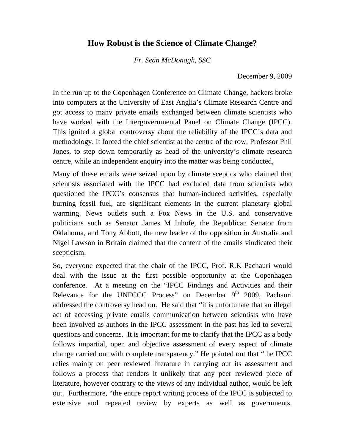## **How Robust is the Science of Climate Change?**

*Fr. Seán McDonagh, SSC* 

December 9, 2009

In the run up to the Copenhagen Conference on Climate Change, hackers broke into computers at the University of East Anglia's Climate Research Centre and got access to many private emails exchanged between climate scientists who have worked with the Intergovernmental Panel on Climate Change (IPCC). This ignited a global controversy about the reliability of the IPCC's data and methodology. It forced the chief scientist at the centre of the row, Professor Phil Jones, to step down temporarily as head of the university's climate research centre, while an independent enquiry into the matter was being conducted,

Many of these emails were seized upon by climate sceptics who claimed that scientists associated with the IPCC had excluded data from scientists who questioned the IPCC's consensus that human-induced activities, especially burning fossil fuel, are significant elements in the current planetary global warming. News outlets such a Fox News in the U.S. and conservative politicians such as Senator James M Inhofe, the Republican Senator from Oklahoma, and Tony Abbott, the new leader of the opposition in Australia and Nigel Lawson in Britain claimed that the content of the emails vindicated their scepticism.

So, everyone expected that the chair of the IPCC, Prof. R.K Pachauri would deal with the issue at the first possible opportunity at the Copenhagen conference. At a meeting on the "IPCC Findings and Activities and their Relevance for the UNFCCC Process" on December 9<sup>th</sup> 2009, Pachauri addressed the controversy head on. He said that "it is unfortunate that an illegal act of accessing private emails communication between scientists who have been involved as authors in the IPCC assessment in the past has led to several questions and concerns. It is important for me to clarify that the IPCC as a body follows impartial, open and objective assessment of every aspect of climate change carried out with complete transparency." He pointed out that "the IPCC relies mainly on peer reviewed literature in carrying out its assessment and follows a process that renders it unlikely that any peer reviewed piece of literature, however contrary to the views of any individual author, would be left out. Furthermore, "the entire report writing process of the IPCC is subjected to extensive and repeated review by experts as well as governments.